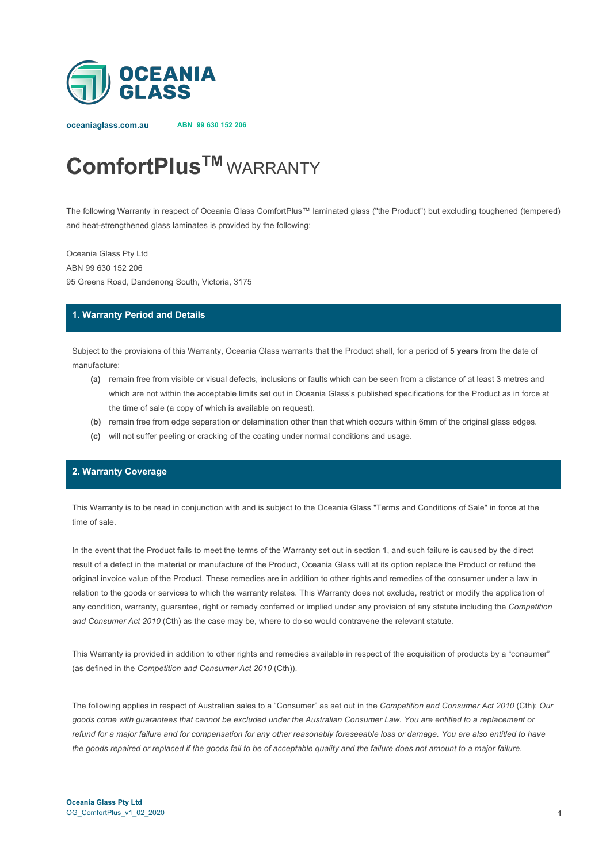

**oceaniaglass.com.au ABN 99 630 152 206**

# **ComfortPlusTM** WARRANTY

The following Warranty in respect of Oceania Glass ComfortPlus™ laminated glass ("the Product") but excluding toughened (tempered) and heat-strengthened glass laminates is provided by the following:

Oceania Glass Pty Ltd ABN 99 630 152 206 95 Greens Road, Dandenong South, Victoria, 3175

### **1. Warranty Period and Details**

Subject to the provisions of this Warranty, Oceania Glass warrants that the Product shall, for a period of **5 years** from the date of manufacture:

- **(a)** remain free from visible or visual defects, inclusions or faults which can be seen from a distance of at least 3 metres and which are not within the acceptable limits set out in Oceania Glass's published specifications for the Product as in force at the time of sale (a copy of which is available on request).
- **(b)** remain free from edge separation or delamination other than that which occurs within 6mm of the original glass edges.
- **(c)** will not suffer peeling or cracking of the coating under normal conditions and usage.

## **2. Warranty Coverage**

This Warranty is to be read in conjunction with and is subject to the Oceania Glass "Terms and Conditions of Sale" in force at the time of sale.

In the event that the Product fails to meet the terms of the Warranty set out in section 1, and such failure is caused by the direct result of a defect in the material or manufacture of the Product, Oceania Glass will at its option replace the Product or refund the original invoice value of the Product. These remedies are in addition to other rights and remedies of the consumer under a law in relation to the goods or services to which the warranty relates. This Warranty does not exclude, restrict or modify the application of any condition, warranty, guarantee, right or remedy conferred or implied under any provision of any statute including the *Competition and Consumer Act 2010* (Cth) as the case may be, where to do so would contravene the relevant statute.

This Warranty is provided in addition to other rights and remedies available in respect of the acquisition of products by a "consumer" (as defined in the *Competition and Consumer Act 2010* (Cth)).

The following applies in respect of Australian sales to a "Consumer" as set out in the *Competition and Consumer Act 2010* (Cth): *Our goods come with guarantees that cannot be excluded under the Australian Consumer Law. You are entitled to a replacement or refund for a major failure and for compensation for any other reasonably foreseeable loss or damage. You are also entitled to have the goods repaired or replaced if the goods fail to be of acceptable quality and the failure does not amount to a major failure.*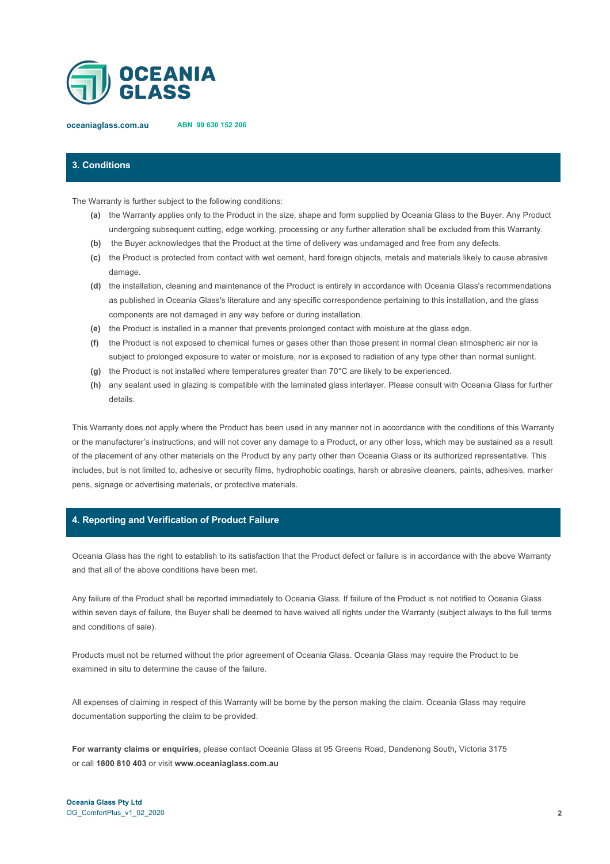

**oceaniaglass.com.au ABN 99 630 152 206**

# **3. Conditions**

The Warranty is further subject to the following conditions:

- **(a)** the Warranty applies only to the Product in the size, shape and form supplied by Oceania Glass to the Buyer. Any Product undergoing subsequent cutting, edge working, processing or any further alteration shall be excluded from this Warranty.
- **(b)** the Buyer acknowledges that the Product at the time of delivery was undamaged and free from any defects.
- **(c)** the Product is protected from contact with wet cement, hard foreign objects, metals and materials likely to cause abrasive damage.
- **(d)** the installation, cleaning and maintenance of the Product is entirely in accordance with Oceania Glass's recommendations as published in Oceania Glass's literature and any specific correspondence pertaining to this installation, and the glass components are not damaged in any way before or during installation.
- **(e)** the Product is installed in a manner that prevents prolonged contact with moisture at the glass edge.
- **(f)** the Product is not exposed to chemical fumes or gases other than those present in normal clean atmospheric air nor is subject to prolonged exposure to water or moisture, nor is exposed to radiation of any type other than normal sunlight.
- **(g)** the Product is not installed where temperatures greater than 70°C are likely to be experienced.
- **(h)** any sealant used in glazing is compatible with the laminated glass interlayer. Please consult with Oceania Glass for further details.

This Warranty does not apply where the Product has been used in any manner not in accordance with the conditions of this Warranty or the manufacturer's instructions, and will not cover any damage to a Product, or any other loss, which may be sustained as a result of the placement of any other materials on the Product by any party other than Oceania Glass or its authorized representative. This includes, but is not limited to, adhesive or security films, hydrophobic coatings, harsh or abrasive cleaners, paints, adhesives, marker pens, signage or advertising materials, or protective materials.

#### **4. Reporting and Verification of Product Failure**

Oceania Glass has the right to establish to its satisfaction that the Product defect or failure is in accordance with the above Warranty and that all of the above conditions have been met.

Any failure of the Product shall be reported immediately to Oceania Glass. If failure of the Product is not notified to Oceania Glass within seven days of failure, the Buyer shall be deemed to have waived all rights under the Warranty (subject always to the full terms and conditions of sale).

Products must not be returned without the prior agreement of Oceania Glass. Oceania Glass may require the Product to be examined in situ to determine the cause of the failure.

All expenses of claiming in respect of this Warranty will be borne by the person making the claim. Oceania Glass may require documentation supporting the claim to be provided.

**For warranty claims or enquiries,** please contact Oceania Glass at 95 Greens Road, Dandenong South, Victoria 3175 or call **1800 810 403** or visit **www.oceaniaglass.com.au**